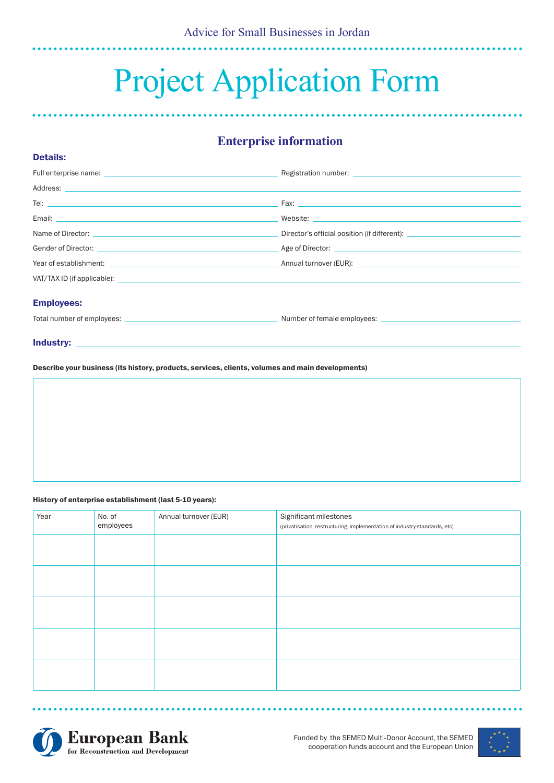# Project Application Form

## **Enterprise information**

| Tel: $\overline{\phantom{a}}$                                                                                                                                                                                                        |                                                                                  |
|--------------------------------------------------------------------------------------------------------------------------------------------------------------------------------------------------------------------------------------|----------------------------------------------------------------------------------|
|                                                                                                                                                                                                                                      |                                                                                  |
|                                                                                                                                                                                                                                      | Director's official position (if different): ___________________________________ |
|                                                                                                                                                                                                                                      |                                                                                  |
| Year of establishment: <u>example and the second of the second of the second of the second of the second of the second of the second of the second of the second of the second of the second of the second of the second of the </u> |                                                                                  |
|                                                                                                                                                                                                                                      |                                                                                  |
| <b>Employees:</b>                                                                                                                                                                                                                    |                                                                                  |
|                                                                                                                                                                                                                                      |                                                                                  |
|                                                                                                                                                                                                                                      |                                                                                  |

Industry:

Details:

Describe your business (its history, products, services, clients, volumes and main developments)

#### History of enterprise establishment (last 5-10 years):

| Year | No. of<br>employees | Annual turnover (EUR) | Significant milestones<br>(privatisation, restructuring, implementation of industry standards, etc) |  |
|------|---------------------|-----------------------|-----------------------------------------------------------------------------------------------------|--|
|      |                     |                       |                                                                                                     |  |
|      |                     |                       |                                                                                                     |  |
|      |                     |                       |                                                                                                     |  |
|      |                     |                       |                                                                                                     |  |
|      |                     |                       |                                                                                                     |  |





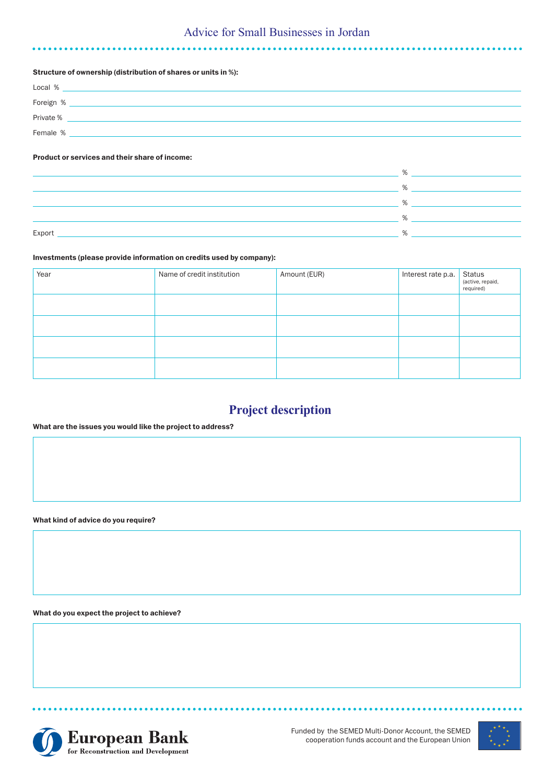### Advice for Small Businesses in Jordan

#### Structure of ownership (distribution of shares or units in %):

| Local %   |  |
|-----------|--|
| Foreign % |  |
| Private % |  |
| Female %  |  |

#### Product or services and their share of income:

|        | $\frac{0}{6}$ |
|--------|---------------|
|        | 0/2           |
|        | %             |
| Export |               |
|        |               |

#### Investments (please provide information on credits used by company):

| Year | Name of credit institution | Amount (EUR) | Interest rate p.a. | Status<br>(active, repaid,<br>required) |
|------|----------------------------|--------------|--------------------|-----------------------------------------|
|      |                            |              |                    |                                         |
|      |                            |              |                    |                                         |
|      |                            |              |                    |                                         |
|      |                            |              |                    |                                         |

## **Project description**

#### What are the issues you would like the project to address?

What kind of advice do you require?

What do you expect the project to achieve?